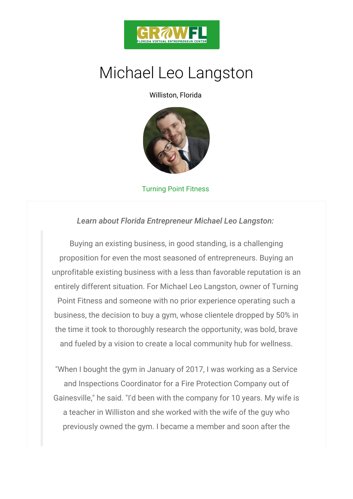

## Michael Leo Langston

Williston, Florida

## Turning Point Fitness

Learn about Florida Entrepreneur Michael Leo Lang

Buying an existing business, in good standing, is a proposition for even the most seasoned of entreprene unprofitable existing business with a less than favora entirely different situation. For Michael Leo Langston Point Fitness and someone with no prior experience or business, the decision to buy a gym, whose clientele the time it took to thoroughly research the opportunit and fueled by a vision to create a local community h

"When I bought the gym in January of 2017, I was wor and Inspections Coordinator for a Fire Protection Company Gainesville," he said. "I'd been with the company for a teacher in Williston and she worked with the wife previously owned the gym. I became a member and s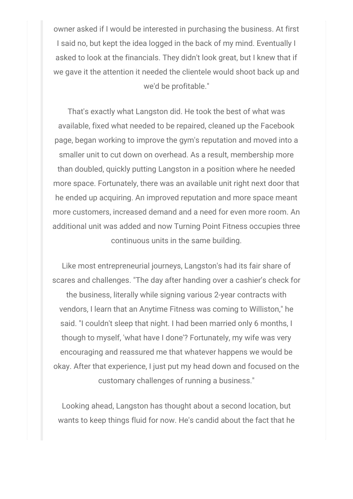owner asked if I would be interested in purchasing the business. At first I said no, but kept the idea logged in the back of my mind. Eventually I asked to look at the financials. They didn't look great, but I knew that if we gave it the attention it needed the clientele would shoot back up and we'd be profitable."

That's exactly what Langston did. He took the best of what was available, fixed what needed to be repaired, cleaned up the Facebook page, began working to improve the gym's reputation and moved into a smaller unit to cut down on overhead. As a result, membership more than doubled, quickly putting Langston in a position where he needed more space. Fortunately, there was an available unit right next door that he ended up acquiring. An improved reputation and more space meant more customers, increased demand and a need for even more room. An additional unit was added and now Turning Point Fitness occupies three continuous units in the same building.

Like most entrepreneurial journeys, Langston's had its fair share of scares and challenges. "The day after handing over a cashier's check for the business, literally while signing various 2-year contracts with vendors, I learn that an Anytime Fitness was coming to Williston," he said. "I couldn't sleep that night. I had been married only 6 months, I though to myself, 'what have I done'? Fortunately, my wife was very encouraging and reassured me that whatever happens we would be okay. After that experience, I just put my head down and focused on the customary challenges of running a business."

Looking ahead, Langston has thought about a second location, but wants to keep things fluid for now. He's candid about the fact that he